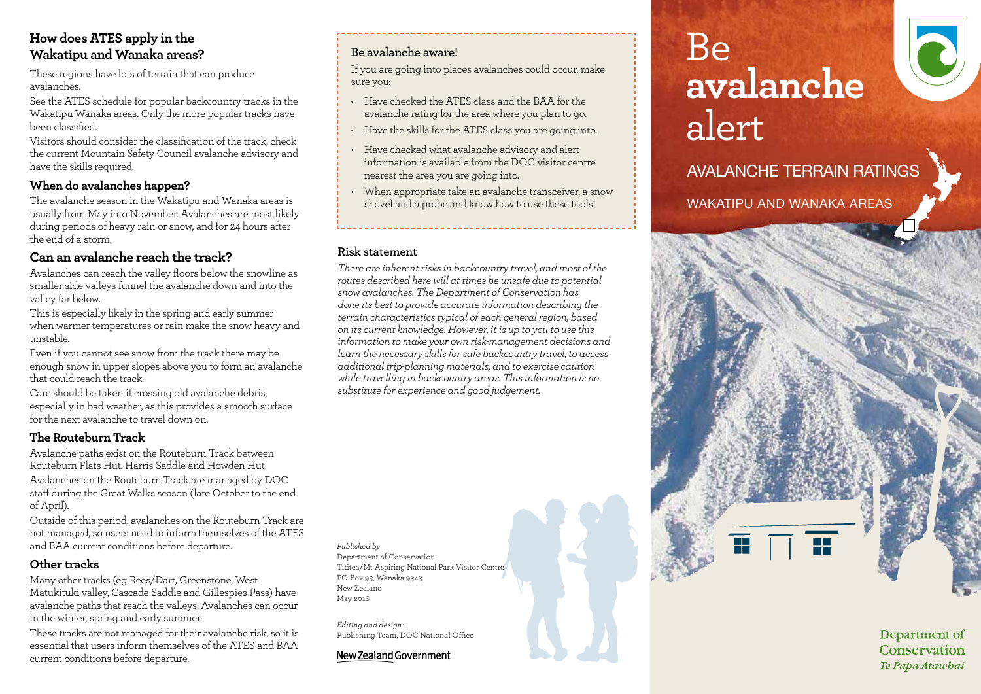# **How does ATES apply in the Wakatipu and Wanaka areas?**

These regions have lots of terrain that can produce avalanches.

See the ATES schedule for popular backcountry tracks in the Wakatipu-Wanaka areas. Only the more popular tracks have been classified.

Visitors should consider the classification of the track, check the current Mountain Safety Council avalanche advisory and have the skills required.

# **When do avalanches happen?**

The avalanche season in the Wakatipu and Wanaka areas is usually from May into November. Avalanches are most likely during periods of heavy rain or snow, and for 24 hours after the end of a storm.

# **Can an avalanche reach the track?**

Avalanches can reach the valley floors below the snowline as smaller side valleys funnel the avalanche down and into the valley far below.

This is especially likely in the spring and early summer when warmer temperatures or rain make the snow heavy and unstable.

Even if you cannot see snow from the track there may be enough snow in upper slopes above you to form an avalanche that could reach the track.

Care should be taken if crossing old avalanche debris, especially in bad weather, as this provides a smooth surface for the next avalanche to travel down on.

# **The Routeburn Track**

Avalanche paths exist on the Routeburn Track between Routeburn Flats Hut, Harris Saddle and Howden Hut.

Avalanches on the Routeburn Track are managed by DOC staff during the Great Walks season (late October to the end of April).

Outside of this period, avalanches on the Routeburn Track are not managed, so users need to inform themselves of the ATES and BAA current conditions before departure.

# **Other tracks**

Many other tracks (eg Rees/Dart, Greenstone, West Matukituki valley, Cascade Saddle and Gillespies Pass) have avalanche paths that reach the valleys. Avalanches can occur in the winter, spring and early summer.

These tracks are not managed for their avalanche risk, so it is essential that users inform themselves of the ATES and BAA current conditions before departure.

# **Be avalanche aware!**

If you are going into places avalanches could occur, make sure you:

- Have checked the ATES class and the BAA for the avalanche rating for the area where you plan to go.
- Have the skills for the ATES class you are going into.
- Have checked what avalanche advisory and alert information is available from the DOC visitor centre nearest the area you are going into.
- When appropriate take an avalanche transceiver, a snow shovel and a probe and know how to use these tools!

#### **Risk statement**

*There are inherent risks in backcountry travel, and most of the routes described here will at times be unsafe due to potential snow avalanches. The Department of Conservation has done its best to provide accurate information describing the terrain characteristics typical of each general region, based on its current knowledge. However, it is up to you to use this information to make your own risk-management decisions and learn the necessary skills for safe backcountry travel, to access additional trip-planning materials, and to exercise caution while travelling in backcountry areas. This information is no substitute for experience and good judgement.*

*Published by* Department of Conservation Tititea/Mt Aspiring National Park Visitor Centre PO Box 93, Wanaka 9343 New Zealand May 2016

*Editing and design:*  Publishing Team, DOC National Office

#### New Zealand Government

# Be **avalanche**  alert

WAKATIPU AND WANAKA AREAS

AVALANCHE TERRAIN RATINGS



Department of Conservation Te Papa Atawbai